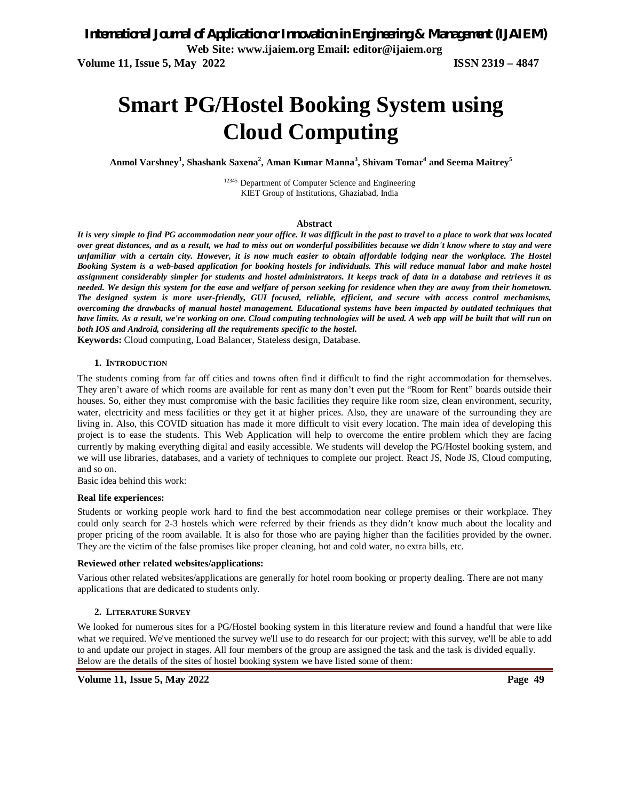**Volume 11, Issue 5, May 2022 ISSN 2319 – 4847**

# **Smart PG/Hostel Booking System using Cloud Computing**

**Anmol Varshney<sup>1</sup> , Shashank Saxena<sup>2</sup> , Aman Kumar Manna<sup>3</sup> , Shivam Tomar<sup>4</sup> and Seema Maitrey<sup>5</sup>**

12345 Department of Computer Science and Engineering KIET Group of Institutions, Ghaziabad, India

#### **Abstract**

*It is very simple to find PG accommodation near your office. It was difficult in the past to travel to a place to work that was located over great distances, and as a result, we had to miss out on wonderful possibilities because we didn't know where to stay and were unfamiliar with a certain city. However, it is now much easier to obtain affordable lodging near the workplace. The Hostel Booking System is a web-based application for booking hostels for individuals. This will reduce manual labor and make hostel assignment considerably simpler for students and hostel administrators. It keeps track of data in a database and retrieves it as needed. We design this system for the ease and welfare of person seeking for residence when they are away from their hometown. The designed system is more user-friendly, GUI focused, reliable, efficient, and secure with access control mechanisms, overcoming the drawbacks of manual hostel management. Educational systems have been impacted by outdated techniques that have limits. As a result, we're working on one. Cloud computing technologies will be used. A web app will be built that will run on both IOS and Android, considering all the requirements specific to the hostel.*

**Keywords:** Cloud computing, Load Balancer, Stateless design, Database.

#### **1. INTRODUCTION**

The students coming from far off cities and towns often find it difficult to find the right accommodation for themselves. They aren't aware of which rooms are available for rent as many don't even put the "Room for Rent" boards outside their houses. So, either they must compromise with the basic facilities they require like room size, clean environment, security, water, electricity and mess facilities or they get it at higher prices. Also, they are unaware of the surrounding they are living in. Also, this COVID situation has made it more difficult to visit every location. The main idea of developing this project is to ease the students. This Web Application will help to overcome the entire problem which they are facing currently by making everything digital and easily accessible. We students will develop the PG/Hostel booking system, and we will use libraries, databases, and a variety of techniques to complete our project. React JS, Node JS, Cloud computing, and so on.

Basic idea behind this work:

#### **Real life experiences:**

Students or working people work hard to find the best accommodation near college premises or their workplace. They could only search for 2-3 hostels which were referred by their friends as they didn't know much about the locality and proper pricing of the room available. It is also for those who are paying higher than the facilities provided by the owner. They are the victim of the false promises like proper cleaning, hot and cold water, no extra bills, etc.

#### **Reviewed other related websites/applications:**

Various other related websites/applications are generally for hotel room booking or property dealing. There are not many applications that are dedicated to students only.

#### **2. LITERATURE SURVEY**

We looked for numerous sites for a PG/Hostel booking system in this literature review and found a handful that were like what we required. We've mentioned the survey we'll use to do research for our project; with this survey, we'll be able to add to and update our project in stages. All four members of the group are assigned the task and the task is divided equally. Below are the details of the sites of hostel booking system we have listed some of them: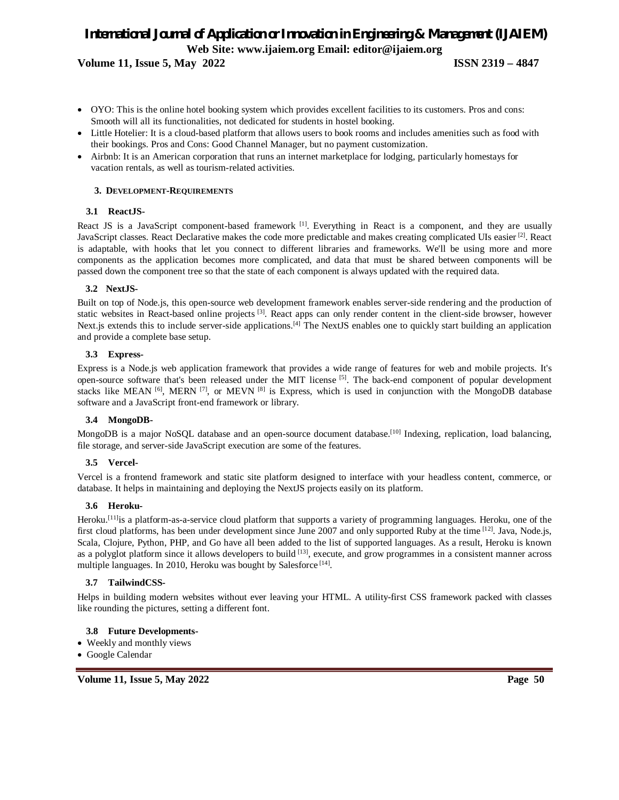**Volume 11, Issue 5, May 2022 ISSN 2319 – 4847**

- OYO: This is the online hotel booking system which provides excellent facilities to its customers. Pros and cons: Smooth will all its functionalities, not dedicated for students in hostel booking.
- Little Hotelier: It is a cloud-based platform that allows users to book rooms and includes amenities such as food with their bookings. Pros and Cons: Good Channel Manager, but no payment customization.
- Airbnb: It is an American corporation that runs an internet marketplace for lodging, particularly homestays for vacation rentals, as well as tourism-related activities.

### **3. DEVELOPMENT-REQUIREMENTS**

#### **3.1 ReactJS-**

React JS is a JavaScript component-based framework <sup>[1]</sup>. Everything in React is a component, and they are usually JavaScript classes. React Declarative makes the code more predictable and makes creating complicated UIs easier<sup>[2]</sup>. React is adaptable, with hooks that let you connect to different libraries and frameworks. We'll be using more and more components as the application becomes more complicated, and data that must be shared between components will be passed down the component tree so that the state of each component is always updated with the required data.

#### **3.2 NextJS-**

Built on top of Node.js, this open-source web development framework enables server-side rendering and the production of static websites in React-based online projects [3]. React apps can only render content in the client-side browser, however Next.js extends this to include server-side applications.<sup>[4]</sup> The NextJS enables one to quickly start building an application and provide a complete base setup.

#### **3.3 Express-**

Express is a Node.js web application framework that provides a wide range of features for web and mobile projects. It's open-source software that's been released under the MIT license [5]. The back-end component of popular development stacks like MEAN  $^{[6]}$ , MERN  $^{[7]}$ , or MEVN  $^{[8]}$  is Express, which is used in conjunction with the MongoDB database software and a JavaScript front-end framework or library.

# **3.4 MongoDB-**

MongoDB is a major NoSQL database and an open-source document database.<sup>[10]</sup> Indexing, replication, load balancing, file storage, and server-side JavaScript execution are some of the features.

#### **3.5 Vercel-**

Vercel is a frontend framework and static site platform designed to interface with your headless content, commerce, or database. It helps in maintaining and deploying the NextJS projects easily on its platform.

# **3.6 Heroku-**

Heroku. [11]is a platform-as-a-service cloud platform that supports a variety of programming languages. Heroku, one of the first cloud platforms, has been under development since June 2007 and only supported Ruby at the time [12]. Java, Node.js, Scala, Clojure, Python, PHP, and Go have all been added to the list of supported languages. As a result, Heroku is known as a polyglot platform since it allows developers to build [13], execute, and grow programmes in a consistent manner across multiple languages. In 2010, Heroku was bought by Salesforce<sup>[14]</sup>.

#### **3.7 TailwindCSS-**

Helps in building modern websites without ever leaving your HTML. A utility-first CSS framework packed with classes like rounding the pictures, setting a different font.

# **3.8 Future Developments-**

- Weekly and monthly views
- Google Calendar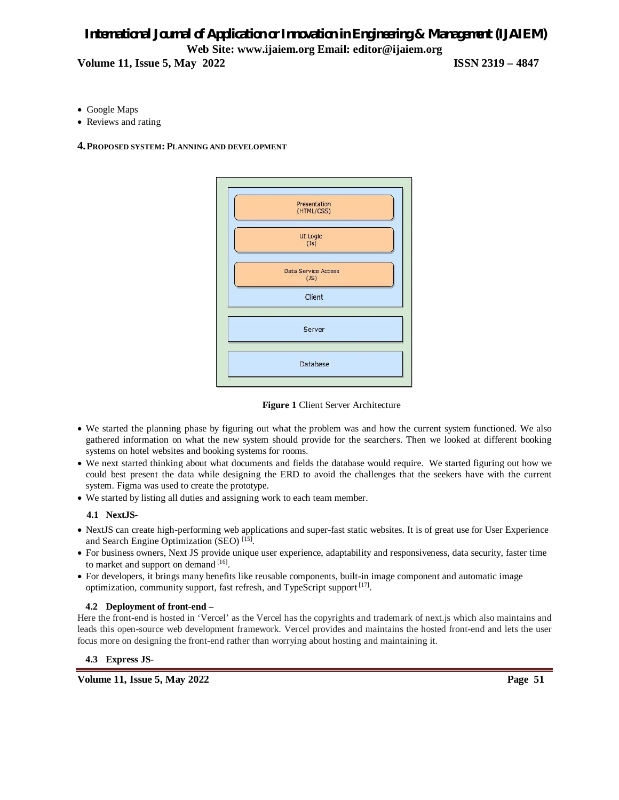**Volume 11, Issue 5, May 2022 ISSN 2319 – 4847**

- Google Maps
- Reviews and rating
- **4.PROPOSED SYSTEM: PLANNING AND DEVELOPMENT**



**Figure 1** Client Server Architecture

- We started the planning phase by figuring out what the problem was and how the current system functioned. We also gathered information on what the new system should provide for the searchers. Then we looked at different booking systems on hotel websites and booking systems for rooms.
- We next started thinking about what documents and fields the database would require. We started figuring out how we could best present the data while designing the ERD to avoid the challenges that the seekers have with the current system. Figma was used to create the prototype.
- We started by listing all duties and assigning work to each team member.

# **4.1 NextJS-**

- NextJS can create high-performing web applications and super-fast static websites. It is of great use for User Experience and Search Engine Optimization (SEO)<sup>[15]</sup>.
- For business owners, Next JS provide unique user experience, adaptability and responsiveness, data security, faster time to market and support on demand [16].
- For developers, it brings many benefits like reusable components, built-in image component and automatic image optimization, community support, fast refresh, and TypeScript support<sup>[17]</sup>.

# **4.2 Deployment of front-end –**

Here the front-end is hosted in 'Vercel' as the Vercel has the copyrights and trademark of next.js which also maintains and leads this open-source web development framework. Vercel provides and maintains the hosted front-end and lets the user focus more on designing the front-end rather than worrying about hosting and maintaining it.

# **4.3 Express JS-**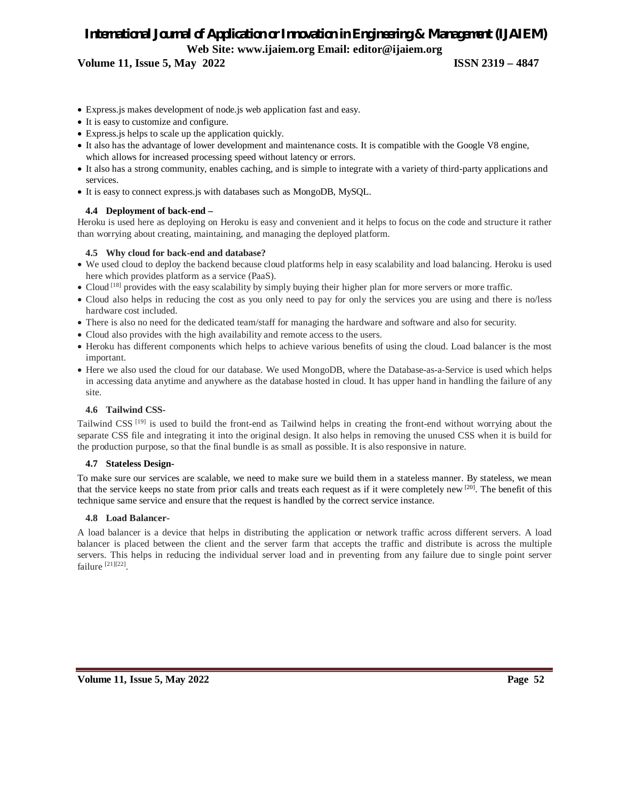**Volume 11, Issue 5, May 2022 ISSN 2319 – 4847**

- Express.js makes development of node.js web application fast and easy.
- It is easy to customize and configure.
- Express.js helps to scale up the application quickly.
- It also has the advantage of lower development and maintenance costs. It is compatible with the Google V8 engine, which allows for increased processing speed without latency or errors.
- It also has a strong community, enables caching, and is simple to integrate with a variety of third-party applications and services.
- It is easy to connect express.js with databases such as MongoDB, MySQL.

# **4.4 Deployment of back-end –**

Heroku is used here as deploying on Heroku is easy and convenient and it helps to focus on the code and structure it rather than worrying about creating, maintaining, and managing the deployed platform.

#### **4.5 Why cloud for back-end and database?**

- We used cloud to deploy the backend because cloud platforms help in easy scalability and load balancing. Heroku is used here which provides platform as a service (PaaS).
- Cloud <sup>[18]</sup> provides with the easy scalability by simply buying their higher plan for more servers or more traffic.
- Cloud also helps in reducing the cost as you only need to pay for only the services you are using and there is no/less hardware cost included.
- There is also no need for the dedicated team/staff for managing the hardware and software and also for security.
- Cloud also provides with the high availability and remote access to the users.
- Heroku has different components which helps to achieve various benefits of using the cloud. Load balancer is the most important.
- Here we also used the cloud for our database. We used MongoDB, where the Database-as-a-Service is used which helps in accessing data anytime and anywhere as the database hosted in cloud. It has upper hand in handling the failure of any site.

# **4.6 Tailwind CSS-**

Tailwind CSS<sup>[19]</sup> is used to build the front-end as Tailwind helps in creating the front-end without worrying about the separate CSS file and integrating it into the original design. It also helps in removing the unused CSS when it is build for the production purpose, so that the final bundle is as small as possible. It is also responsive in nature.

#### **4.7 Stateless Design-**

To make sure our services are scalable, we need to make sure we build them in a stateless manner. By stateless, we mean that the service keeps no state from prior calls and treats each request as if it were completely new  $[20]$ . The benefit of this technique same service and ensure that the request is handled by the correct service instance.

#### **4.8 Load Balancer-**

A load balancer is a device that helps in distributing the application or network traffic across different servers. A load balancer is placed between the client and the server farm that accepts the traffic and distribute is across the multiple servers. This helps in reducing the individual server load and in preventing from any failure due to single point server failure [21][22].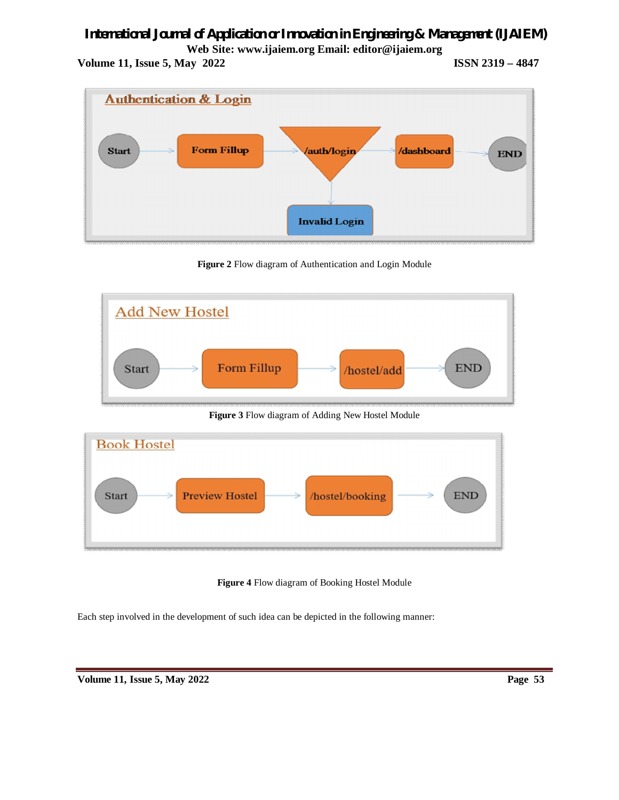**Volume 11, Issue 5, May 2022 ISSN 2319 – 4847**



**Figure 2** Flow diagram of Authentication and Login Module



**Figure 3** Flow diagram of Adding New Hostel Module



**Figure 4** Flow diagram of Booking Hostel Module

Each step involved in the development of such idea can be depicted in the following manner: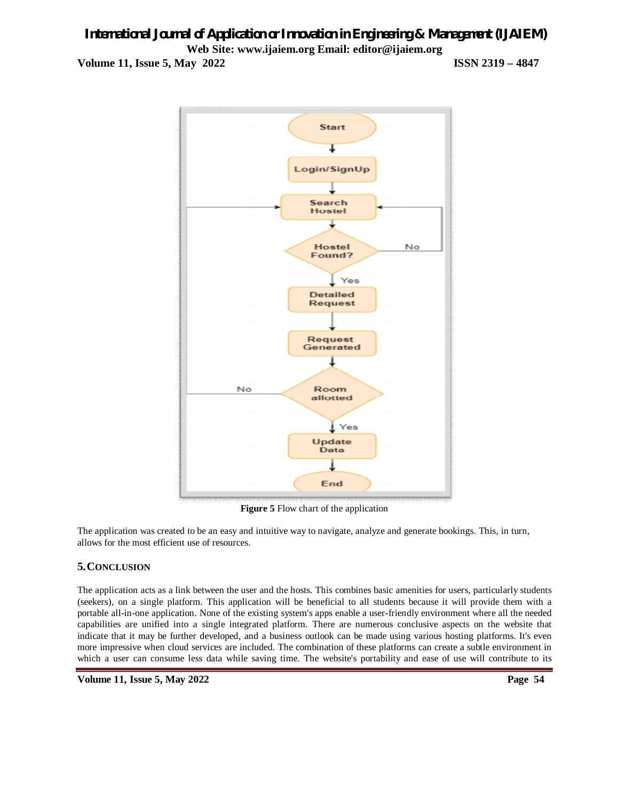# *International Journal of Application or Innovation in Engineering & Management (IJAIEM)* **Web Site: www.ijaiem.org Email: editor@ijaiem.org Volume 11, Issue 5, May 2022 ISSN 2319 – 4847**



**Figure 5** Flow chart of the application

The application was created to be an easy and intuitive way to navigate, analyze and generate bookings. This, in turn, allows for the most efficient use of resources.

# **5.CONCLUSION**

The application acts as a link between the user and the hosts. This combines basic amenities for users, particularly students (seekers), on a single platform. This application will be beneficial to all students because it will provide them with a portable all-in-one application. None of the existing system's apps enable a user-friendly environment where all the needed capabilities are unified into a single integrated platform. There are numerous conclusive aspects on the website that indicate that it may be further developed, and a business outlook can be made using various hosting platforms. It's even more impressive when cloud services are included. The combination of these platforms can create a subtle environment in which a user can consume less data while saving time. The website's portability and ease of use will contribute to its